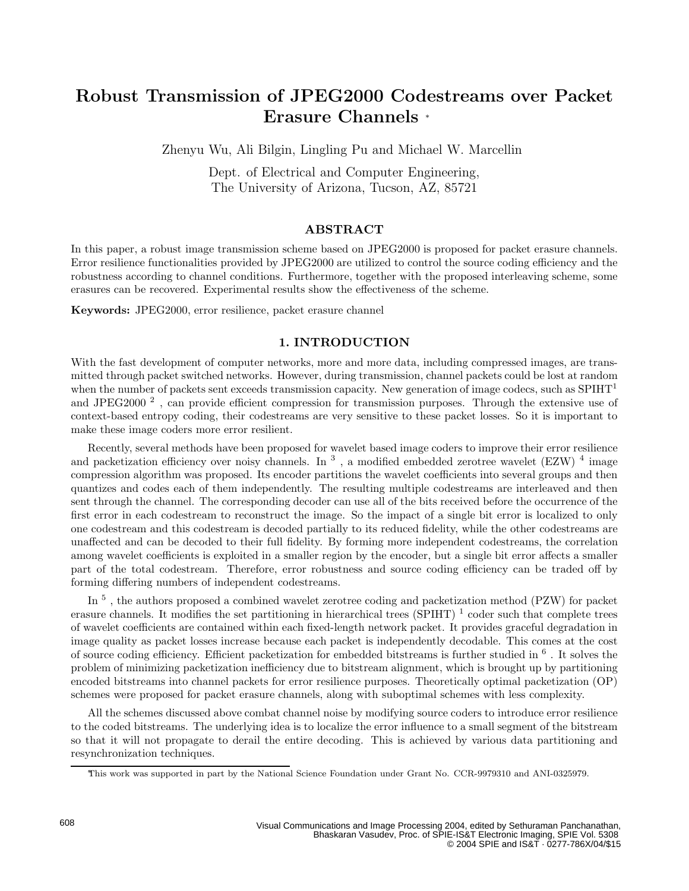# **Robust Transmission of JPEG2000 Codestreams over Packet Erasure Channels** ∗

Zhenyu Wu, Ali Bilgin, Lingling Pu and Michael W. Marcellin

Dept. of Electrical and Computer Engineering, The University of Arizona, Tucson, AZ, 85721

## **ABSTRACT**

In this paper, a robust image transmission scheme based on JPEG2000 is proposed for packet erasure channels. Error resilience functionalities provided by JPEG2000 are utilized to control the source coding efficiency and the robustness according to channel conditions. Furthermore, together with the proposed interleaving scheme, some erasures can be recovered. Experimental results show the effectiveness of the scheme.

**Keywords:** JPEG2000, error resilience, packet erasure channel

## **1. INTRODUCTION**

With the fast development of computer networks, more and more data, including compressed images, are transmitted through packet switched networks. However, during transmission, channel packets could be lost at random when the number of packets sent exceeds transmission capacity. New generation of image codecs, such as  $\text{SPIHT}^1$ and JPEG2000<sup>2</sup>, can provide efficient compression for transmission purposes. Through the extensive use of context-based entropy coding, their codestreams are very sensitive to these packet losses. So it is important to make these image coders more error resilient.

Recently, several methods have been proposed for wavelet based image coders to improve their error resilience and packetization efficiency over noisy channels. In  $^3$  , a modified embedded zerotree wavelet (EZW)  $^4$  image compression algorithm was proposed. Its encoder partitions the wavelet coefficients into several groups and then quantizes and codes each of them independently. The resulting multiple codestreams are interleaved and then sent through the channel. The corresponding decoder can use all of the bits received before the occurrence of the first error in each codestream to reconstruct the image. So the impact of a single bit error is localized to only one codestream and this codestream is decoded partially to its reduced fidelity, while the other codestreams are unaffected and can be decoded to their full fidelity. By forming more independent codestreams, the correlation among wavelet coefficients is exploited in a smaller region by the encoder, but a single bit error affects a smaller part of the total codestream. Therefore, error robustness and source coding efficiency can be traded off by forming differing numbers of independent codestreams.

In<sup>5</sup>, the authors proposed a combined wavelet zerotree coding and packetization method (PZW) for packet erasure channels. It modifies the set partitioning in hierarchical trees (SPIHT)<sup>1</sup> coder such that complete trees of wavelet coefficients are contained within each fixed-length network packet. It provides graceful degradation in image quality as packet losses increase because each packet is independently decodable. This comes at the cost of source coding efficiency. Efficient packetization for embedded bitstreams is further studied in <sup>6</sup> . It solves the problem of minimizing packetization inefficiency due to bitstream alignment, which is brought up by partitioning encoded bitstreams into channel packets for error resilience purposes. Theoretically optimal packetization (OP) schemes were proposed for packet erasure channels, along with suboptimal schemes with less complexity.

All the schemes discussed above combat channel noise by modifying source coders to introduce error resilience to the coded bitstreams. The underlying idea is to localize the error influence to a small segment of the bitstream so that it will not propagate to derail the entire decoding. This is achieved by various data partitioning and resynchronization techniques.

This work was supported in part by the National Science Foundation under Grant No. CCR-9979310 and ANI-0325979.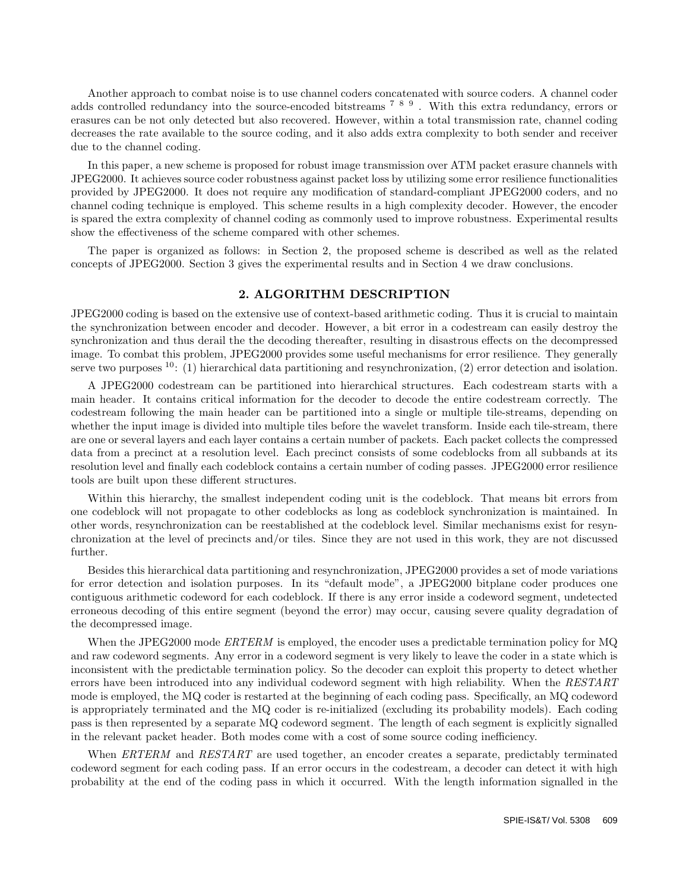Another approach to combat noise is to use channel coders concatenated with source coders. A channel coder adds controlled redundancy into the source-encoded bitstreams<sup>789</sup>. With this extra redundancy, errors or erasures can be not only detected but also recovered. However, within a total transmission rate, channel coding decreases the rate available to the source coding, and it also adds extra complexity to both sender and receiver due to the channel coding.

In this paper, a new scheme is proposed for robust image transmission over ATM packet erasure channels with JPEG2000. It achieves source coder robustness against packet loss by utilizing some error resilience functionalities provided by JPEG2000. It does not require any modification of standard-compliant JPEG2000 coders, and no channel coding technique is employed. This scheme results in a high complexity decoder. However, the encoder is spared the extra complexity of channel coding as commonly used to improve robustness. Experimental results show the effectiveness of the scheme compared with other schemes.

The paper is organized as follows: in Section 2, the proposed scheme is described as well as the related concepts of JPEG2000. Section 3 gives the experimental results and in Section 4 we draw conclusions.

### **2. ALGORITHM DESCRIPTION**

JPEG2000 coding is based on the extensive use of context-based arithmetic coding. Thus it is crucial to maintain the synchronization between encoder and decoder. However, a bit error in a codestream can easily destroy the synchronization and thus derail the the decoding thereafter, resulting in disastrous effects on the decompressed image. To combat this problem, JPEG2000 provides some useful mechanisms for error resilience. They generally serve two purposes  $^{10}$ : (1) hierarchical data partitioning and resynchronization, (2) error detection and isolation.

A JPEG2000 codestream can be partitioned into hierarchical structures. Each codestream starts with a main header. It contains critical information for the decoder to decode the entire codestream correctly. The codestream following the main header can be partitioned into a single or multiple tile-streams, depending on whether the input image is divided into multiple tiles before the wavelet transform. Inside each tile-stream, there are one or several layers and each layer contains a certain number of packets. Each packet collects the compressed data from a precinct at a resolution level. Each precinct consists of some codeblocks from all subbands at its resolution level and finally each codeblock contains a certain number of coding passes. JPEG2000 error resilience tools are built upon these different structures.

Within this hierarchy, the smallest independent coding unit is the codeblock. That means bit errors from one codeblock will not propagate to other codeblocks as long as codeblock synchronization is maintained. In other words, resynchronization can be reestablished at the codeblock level. Similar mechanisms exist for resynchronization at the level of precincts and/or tiles. Since they are not used in this work, they are not discussed further.

Besides this hierarchical data partitioning and resynchronization, JPEG2000 provides a set of mode variations for error detection and isolation purposes. In its "default mode", a JPEG2000 bitplane coder produces one contiguous arithmetic codeword for each codeblock. If there is any error inside a codeword segment, undetected erroneous decoding of this entire segment (beyond the error) may occur, causing severe quality degradation of the decompressed image.

When the JPEG2000 mode *ERTERM* is employed, the encoder uses a predictable termination policy for MQ and raw codeword segments. Any error in a codeword segment is very likely to leave the coder in a state which is inconsistent with the predictable termination policy. So the decoder can exploit this property to detect whether errors have been introduced into any individual codeword segment with high reliability. When the *RESTART* mode is employed, the MQ coder is restarted at the beginning of each coding pass. Specifically, an MQ codeword is appropriately terminated and the MQ coder is re-initialized (excluding its probability models). Each coding pass is then represented by a separate MQ codeword segment. The length of each segment is explicitly signalled in the relevant packet header. Both modes come with a cost of some source coding inefficiency.

When *ERTERM* and *RESTART* are used together, an encoder creates a separate, predictably terminated codeword segment for each coding pass. If an error occurs in the codestream, a decoder can detect it with high probability at the end of the coding pass in which it occurred. With the length information signalled in the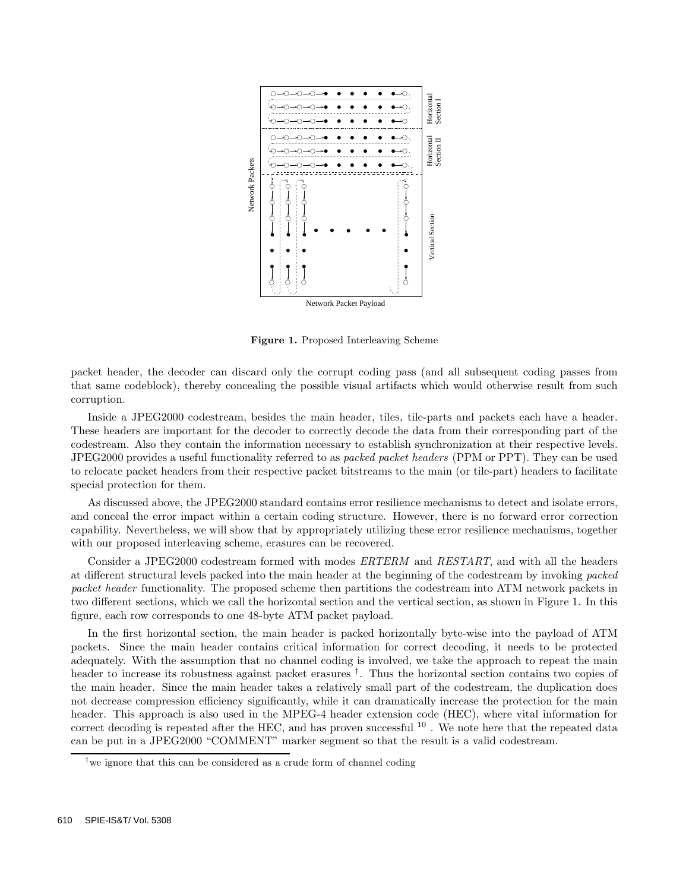

**Figure 1.** Proposed Interleaving Scheme

packet header, the decoder can discard only the corrupt coding pass (and all subsequent coding passes from that same codeblock), thereby concealing the possible visual artifacts which would otherwise result from such corruption.

Inside a JPEG2000 codestream, besides the main header, tiles, tile-parts and packets each have a header. These headers are important for the decoder to correctly decode the data from their corresponding part of the codestream. Also they contain the information necessary to establish synchronization at their respective levels. JPEG2000 provides a useful functionality referred to as *packed packet headers* (PPM or PPT). They can be used to relocate packet headers from their respective packet bitstreams to the main (or tile-part) headers to facilitate special protection for them.

As discussed above, the JPEG2000 standard contains error resilience mechanisms to detect and isolate errors, and conceal the error impact within a certain coding structure. However, there is no forward error correction capability. Nevertheless, we will show that by appropriately utilizing these error resilience mechanisms, together with our proposed interleaving scheme, erasures can be recovered.

Consider a JPEG2000 codestream formed with modes *ERTERM* and *RESTART*, and with all the headers at different structural levels packed into the main header at the beginning of the codestream by invoking *packed packet header* functionality. The proposed scheme then partitions the codestream into ATM network packets in two different sections, which we call the horizontal section and the vertical section, as shown in Figure 1. In this figure, each row corresponds to one 48-byte ATM packet payload.

In the first horizontal section, the main header is packed horizontally byte-wise into the payload of ATM packets. Since the main header contains critical information for correct decoding, it needs to be protected adequately. With the assumption that no channel coding is involved, we take the approach to repeat the main header to increase its robustness against packet erasures <sup>†</sup>. Thus the horizontal section contains two copies of the main header. Since the main header takes a relatively small part of the codestream, the duplication does not decrease compression efficiency significantly, while it can dramatically increase the protection for the main header. This approach is also used in the MPEG-4 header extension code (HEC), where vital information for correct decoding is repeated after the HEC, and has proven successful <sup>10</sup>. We note here that the repeated data can be put in a JPEG2000 "COMMENT" marker segment so that the result is a valid codestream.

<sup>&</sup>lt;sup> $\dagger$ </sup>we ignore that this can be considered as a crude form of channel coding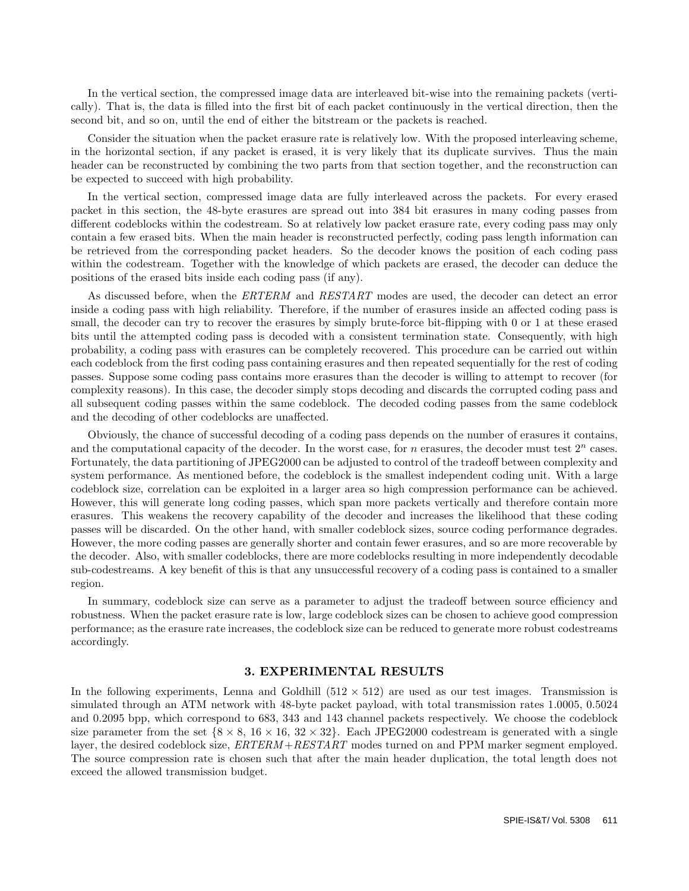In the vertical section, the compressed image data are interleaved bit-wise into the remaining packets (vertically). That is, the data is filled into the first bit of each packet continuously in the vertical direction, then the second bit, and so on, until the end of either the bitstream or the packets is reached.

Consider the situation when the packet erasure rate is relatively low. With the proposed interleaving scheme, in the horizontal section, if any packet is erased, it is very likely that its duplicate survives. Thus the main header can be reconstructed by combining the two parts from that section together, and the reconstruction can be expected to succeed with high probability.

In the vertical section, compressed image data are fully interleaved across the packets. For every erased packet in this section, the 48-byte erasures are spread out into 384 bit erasures in many coding passes from different codeblocks within the codestream. So at relatively low packet erasure rate, every coding pass may only contain a few erased bits. When the main header is reconstructed perfectly, coding pass length information can be retrieved from the corresponding packet headers. So the decoder knows the position of each coding pass within the codestream. Together with the knowledge of which packets are erased, the decoder can deduce the positions of the erased bits inside each coding pass (if any).

As discussed before, when the *ERTERM* and *RESTART* modes are used, the decoder can detect an error inside a coding pass with high reliability. Therefore, if the number of erasures inside an affected coding pass is small, the decoder can try to recover the erasures by simply brute-force bit-flipping with 0 or 1 at these erased bits until the attempted coding pass is decoded with a consistent termination state. Consequently, with high probability, a coding pass with erasures can be completely recovered. This procedure can be carried out within each codeblock from the first coding pass containing erasures and then repeated sequentially for the rest of coding passes. Suppose some coding pass contains more erasures than the decoder is willing to attempt to recover (for complexity reasons). In this case, the decoder simply stops decoding and discards the corrupted coding pass and all subsequent coding passes within the same codeblock. The decoded coding passes from the same codeblock and the decoding of other codeblocks are unaffected.

Obviously, the chance of successful decoding of a coding pass depends on the number of erasures it contains, and the computational capacity of the decoder. In the worst case, for *n* erasures, the decoder must test 2*<sup>n</sup>* cases. Fortunately, the data partitioning of JPEG2000 can be adjusted to control of the tradeoff between complexity and system performance. As mentioned before, the codeblock is the smallest independent coding unit. With a large codeblock size, correlation can be exploited in a larger area so high compression performance can be achieved. However, this will generate long coding passes, which span more packets vertically and therefore contain more erasures. This weakens the recovery capability of the decoder and increases the likelihood that these coding passes will be discarded. On the other hand, with smaller codeblock sizes, source coding performance degrades. However, the more coding passes are generally shorter and contain fewer erasures, and so are more recoverable by the decoder. Also, with smaller codeblocks, there are more codeblocks resulting in more independently decodable sub-codestreams. A key benefit of this is that any unsuccessful recovery of a coding pass is contained to a smaller region.

In summary, codeblock size can serve as a parameter to adjust the tradeoff between source efficiency and robustness. When the packet erasure rate is low, large codeblock sizes can be chosen to achieve good compression performance; as the erasure rate increases, the codeblock size can be reduced to generate more robust codestreams accordingly.

#### **3. EXPERIMENTAL RESULTS**

In the following experiments, Lenna and Goldhill  $(512 \times 512)$  are used as our test images. Transmission is simulated through an ATM network with 48-byte packet payload, with total transmission rates 1.0005, 0.5024 and 0.2095 bpp, which correspond to 683, 343 and 143 channel packets respectively. We choose the codeblock size parameter from the set  $\{8 \times 8, 16 \times 16, 32 \times 32\}$ . Each JPEG2000 codestream is generated with a single layer, the desired codeblock size,  $ERTERM+RESTART$  modes turned on and PPM marker segment employed. The source compression rate is chosen such that after the main header duplication, the total length does not exceed the allowed transmission budget.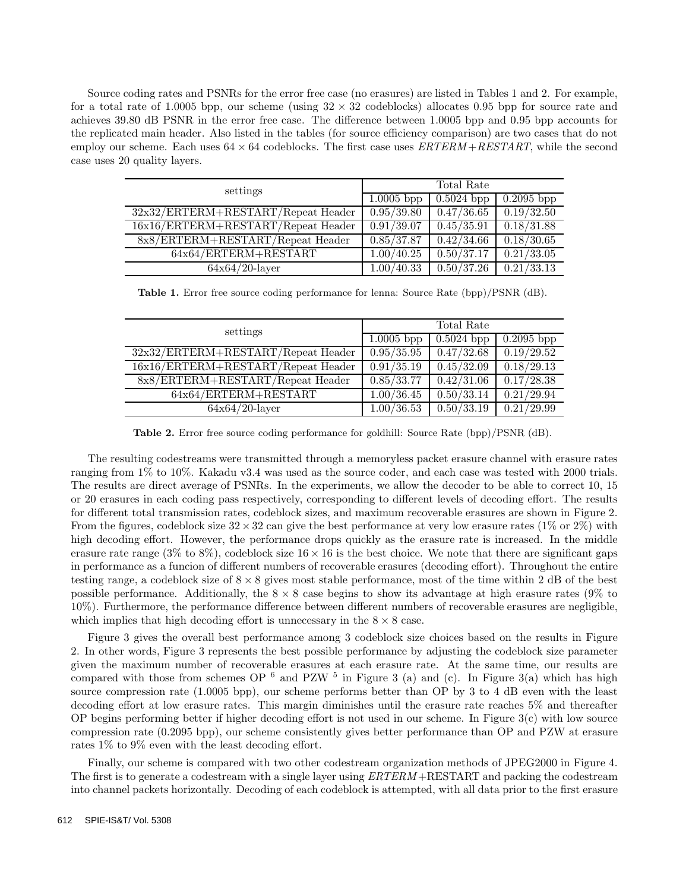Source coding rates and PSNRs for the error free case (no erasures) are listed in Tables 1 and 2. For example, for a total rate of 1.0005 bpp, our scheme (using 32 *×* 32 codeblocks) allocates 0.95 bpp for source rate and achieves 39.80 dB PSNR in the error free case. The difference between 1.0005 bpp and 0.95 bpp accounts for the replicated main header. Also listed in the tables (for source efficiency comparison) are two cases that do not employ our scheme. Each uses  $64 \times 64$  codeblocks. The first case uses  $ERTERM + RESTART$ , while the second case uses 20 quality layers.

| settings                             | Total Rate   |              |              |
|--------------------------------------|--------------|--------------|--------------|
|                                      | $1.0005$ bpp | $0.5024$ bpp | $0.2095$ bpp |
| 32x32/ERTERM+RESTART/Repeat Header   | 0.95/39.80   | 0.47/36.65   | 0.19/32.50   |
| $16x16/ERTERM+RESTART/Repeat$ Header | 0.91/39.07   | 0.45/35.91   | 0.18/31.88   |
| $8x8/ERTERM + RESTART/Repeat$ Header | 0.85/37.87   | 0.42/34.66   | 0.18/30.65   |
| $64x64/ERTERM+RESTART$               | 1.00/40.25   | 0.50/37.17   | 0.21/33.05   |
| $64x64/20$ -layer                    | 1.00/40.33   | 0.50/37.26   | 0.21/33.13   |

**Table 1.** Error free source coding performance for lenna: Source Rate (bpp)/PSNR (dB).

| settings                           | Total Rate   |              |              |
|------------------------------------|--------------|--------------|--------------|
|                                    | $1.0005$ bpp | $0.5024$ bpp | $0.2095$ bpp |
| 32x32/ERTERM+RESTART/Repeat Header | 0.95/35.95   | 0.47/32.68   | 0.19/29.52   |
| 16x16/ERTERM+RESTART/Repeat Header | 0.91/35.19   | 0.45/32.09   | 0.18/29.13   |
| 8x8/ERTERM+RESTART/Repeat Header   | 0.85/33.77   | 0.42/31.06   | 0.17/28.38   |
| $64x64/ERTERM+RESTART$             | 1.00/36.45   | 0.50/33.14   | 0.21/29.94   |
| $64x64/20$ -layer                  | 1.00/36.53   | 0.50/33.19   | 0.21/29.99   |

**Table 2.** Error free source coding performance for goldhill: Source Rate (bpp)/PSNR (dB).

The resulting codestreams were transmitted through a memoryless packet erasure channel with erasure rates ranging from 1% to 10%. Kakadu v3.4 was used as the source coder, and each case was tested with 2000 trials. The results are direct average of PSNRs. In the experiments, we allow the decoder to be able to correct 10, 15 or 20 erasures in each coding pass respectively, corresponding to different levels of decoding effort. The results for different total transmission rates, codeblock sizes, and maximum recoverable erasures are shown in Figure 2. From the figures, codeblock size 32*×*32 can give the best performance at very low erasure rates (1% or 2%) with high decoding effort. However, the performance drops quickly as the erasure rate is increased. In the middle erasure rate range  $(3\%$  to  $8\%)$ , codeblock size  $16 \times 16$  is the best choice. We note that there are significant gaps in performance as a funcion of different numbers of recoverable erasures (decoding effort). Throughout the entire testing range, a codeblock size of 8 *×* 8 gives most stable performance, most of the time within 2 dB of the best possible performance. Additionally, the 8 *×* 8 case begins to show its advantage at high erasure rates (9% to 10%). Furthermore, the performance difference between different numbers of recoverable erasures are negligible, which implies that high decoding effort is unnecessary in the  $8 \times 8$  case.

Figure 3 gives the overall best performance among 3 codeblock size choices based on the results in Figure 2. In other words, Figure 3 represents the best possible performance by adjusting the codeblock size parameter given the maximum number of recoverable erasures at each erasure rate. At the same time, our results are compared with those from schemes OP  $^6$  and PZW  $^5$  in Figure 3 (a) and (c). In Figure 3(a) which has high source compression rate (1.0005 bpp), our scheme performs better than OP by 3 to 4 dB even with the least decoding effort at low erasure rates. This margin diminishes until the erasure rate reaches 5% and thereafter OP begins performing better if higher decoding effort is not used in our scheme. In Figure 3(c) with low source compression rate (0.2095 bpp), our scheme consistently gives better performance than OP and PZW at erasure rates 1% to 9% even with the least decoding effort.

Finally, our scheme is compared with two other codestream organization methods of JPEG2000 in Figure 4. The first is to generate a codestream with a single layer using *ERTERM* +RESTART and packing the codestream into channel packets horizontally. Decoding of each codeblock is attempted, with all data prior to the first erasure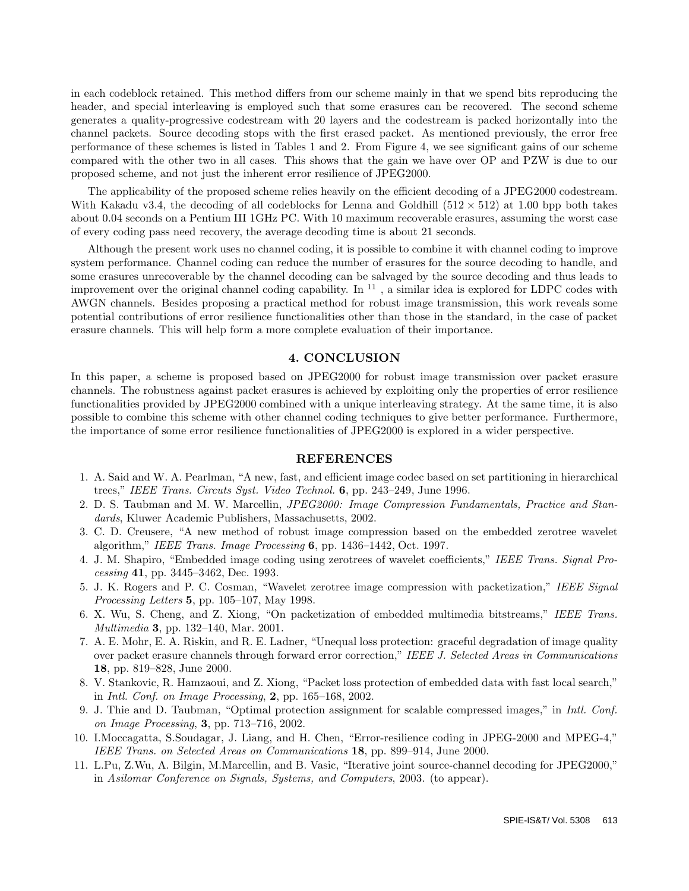in each codeblock retained. This method differs from our scheme mainly in that we spend bits reproducing the header, and special interleaving is employed such that some erasures can be recovered. The second scheme generates a quality-progressive codestream with 20 layers and the codestream is packed horizontally into the channel packets. Source decoding stops with the first erased packet. As mentioned previously, the error free performance of these schemes is listed in Tables 1 and 2. From Figure 4, we see significant gains of our scheme compared with the other two in all cases. This shows that the gain we have over OP and PZW is due to our proposed scheme, and not just the inherent error resilience of JPEG2000.

The applicability of the proposed scheme relies heavily on the efficient decoding of a JPEG2000 codestream. With Kakadu v3.4, the decoding of all codeblocks for Lenna and Goldhill  $(512 \times 512)$  at 1.00 bpp both takes about 0.04 seconds on a Pentium III 1GHz PC. With 10 maximum recoverable erasures, assuming the worst case of every coding pass need recovery, the average decoding time is about 21 seconds.

Although the present work uses no channel coding, it is possible to combine it with channel coding to improve system performance. Channel coding can reduce the number of erasures for the source decoding to handle, and some erasures unrecoverable by the channel decoding can be salvaged by the source decoding and thus leads to improvement over the original channel coding capability. In  $^{11}$ , a similar idea is explored for LDPC codes with AWGN channels. Besides proposing a practical method for robust image transmission, this work reveals some potential contributions of error resilience functionalities other than those in the standard, in the case of packet erasure channels. This will help form a more complete evaluation of their importance.

## **4. CONCLUSION**

In this paper, a scheme is proposed based on JPEG2000 for robust image transmission over packet erasure channels. The robustness against packet erasures is achieved by exploiting only the properties of error resilience functionalities provided by JPEG2000 combined with a unique interleaving strategy. At the same time, it is also possible to combine this scheme with other channel coding techniques to give better performance. Furthermore, the importance of some error resilience functionalities of JPEG2000 is explored in a wider perspective.

#### **REFERENCES**

- 1. A. Said and W. A. Pearlman, "A new, fast, and efficient image codec based on set partitioning in hierarchical trees," *IEEE Trans. Circuts Syst. Video Technol.* **6**, pp. 243–249, June 1996.
- 2. D. S. Taubman and M. W. Marcellin, *JPEG2000: Image Compression Fundamentals, Practice and Standards*, Kluwer Academic Publishers, Massachusetts, 2002.
- 3. C. D. Creusere, "A new method of robust image compression based on the embedded zerotree wavelet algorithm," *IEEE Trans. Image Processing* **6**, pp. 1436–1442, Oct. 1997.
- 4. J. M. Shapiro, "Embedded image coding using zerotrees of wavelet coefficients," *IEEE Trans. Signal Processing* **41**, pp. 3445–3462, Dec. 1993.
- 5. J. K. Rogers and P. C. Cosman, "Wavelet zerotree image compression with packetization," *IEEE Signal Processing Letters* **5**, pp. 105–107, May 1998.
- 6. X. Wu, S. Cheng, and Z. Xiong, "On packetization of embedded multimedia bitstreams," *IEEE Trans. Multimedia* **3**, pp. 132–140, Mar. 2001.
- 7. A. E. Mohr, E. A. Riskin, and R. E. Ladner, "Unequal loss protection: graceful degradation of image quality over packet erasure channels through forward error correction," *IEEE J. Selected Areas in Communications* **18**, pp. 819–828, June 2000.
- 8. V. Stankovic, R. Hamzaoui, and Z. Xiong, "Packet loss protection of embedded data with fast local search," in *Intl. Conf. on Image Processing*, **2**, pp. 165–168, 2002.
- 9. J. Thie and D. Taubman, "Optimal protection assignment for scalable compressed images," in *Intl. Conf. on Image Processing*, **3**, pp. 713–716, 2002.
- 10. I.Moccagatta, S.Soudagar, J. Liang, and H. Chen, "Error-resilience coding in JPEG-2000 and MPEG-4," *IEEE Trans. on Selected Areas on Communications* **18**, pp. 899–914, June 2000.
- 11. L.Pu, Z.Wu, A. Bilgin, M.Marcellin, and B. Vasic, "Iterative joint source-channel decoding for JPEG2000," in *Asilomar Conference on Signals, Systems, and Computers*, 2003. (to appear).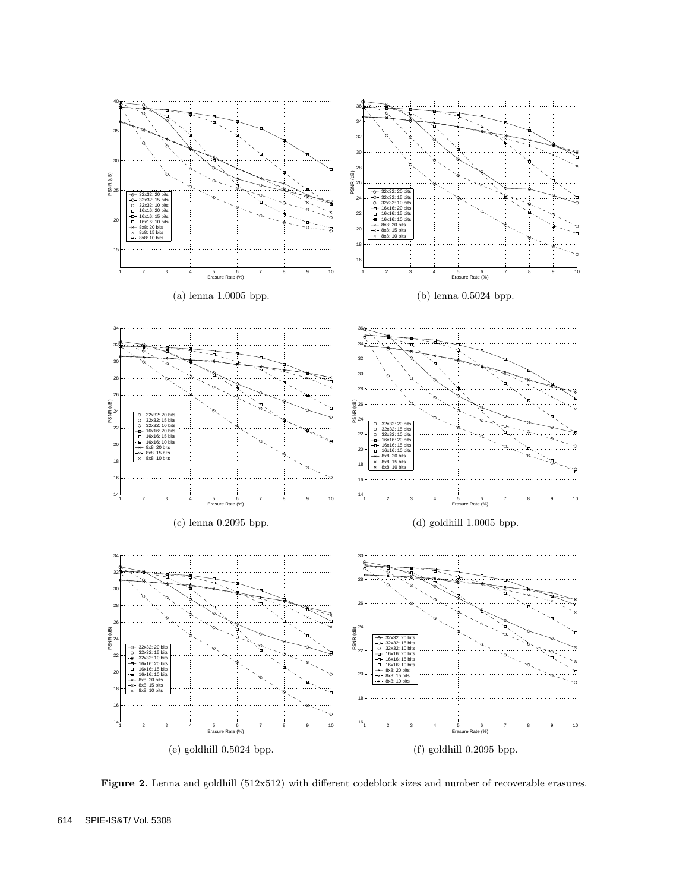

**Figure 2.** Lenna and goldhill (512x512) with different codeblock sizes and number of recoverable erasures.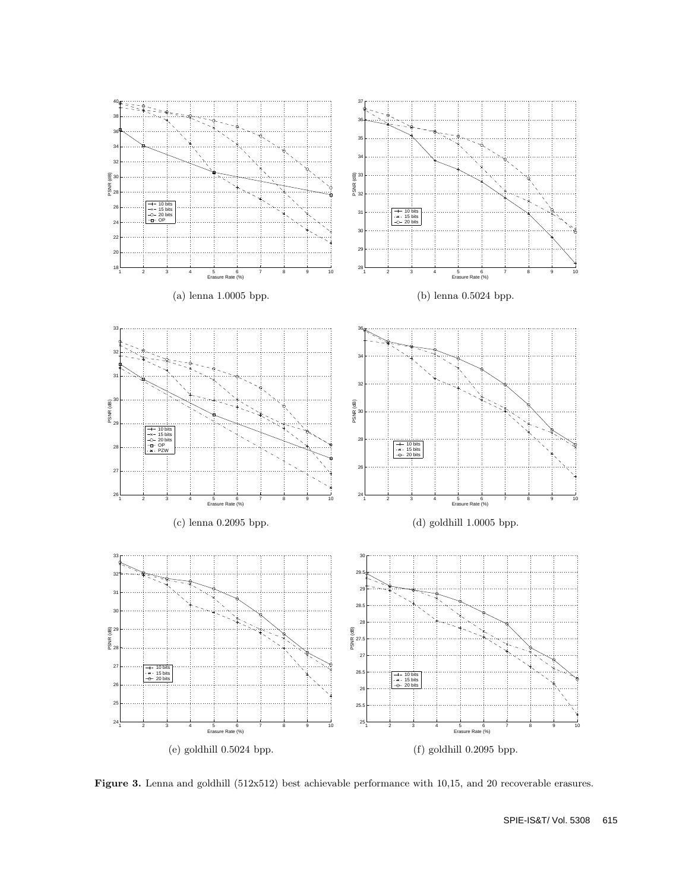

**Figure 3.** Lenna and goldhill (512x512) best achievable performance with 10,15, and 20 recoverable erasures.